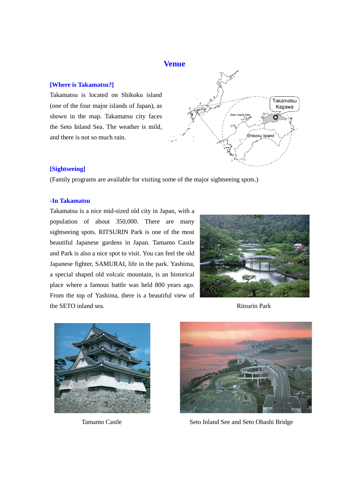# **Venue**

# **[Where is Takamatsu?]**

Takamatsu is located on Shikoku island (one of the four major islands of Japan), as shown in the map. Takamatsu city faces the Seto Inland Sea. The weather is mild, and there is not so much rain.



## **[Sightseeing]**

(Family programs are available for visiting some of the major sightseeing spots.)

#### **-In Takamatsu**

Takamatsu is a nice mid-sized old city in Japan, with a population of about 350,000. There are many sightseeing spots. RITSURIN Park is one of the most beautiful Japanese gardens in Japan. Tamamo Castle and Park is also a nice spot to visit. You can feel the old Japanese fighter, SAMURAI, life in the park. Yashima, a special shaped old volcaic mountain, is an historical place where a famous battle was held 800 years ago. From the top of Yashima, there is a beautiful view of the SETO inland sea. **Ritsurin Park** 







Tamamo Castle Seto Inland See and Seto Ohashi Bridge